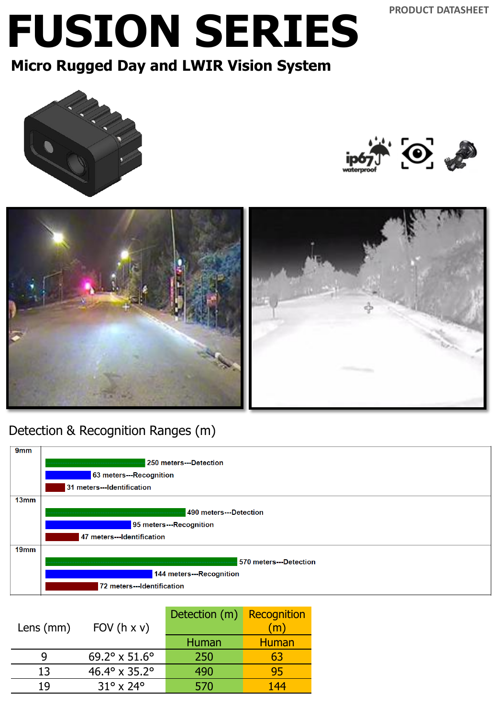## **FUSION SERIES**

**Micro Rugged Day and LWIR Vision System** 







#### Detection & Recognition Ranges (m)



| FOV $(h \times v)$              | Detection (m) | Recognition<br>$\mathsf{(m)}$ |
|---------------------------------|---------------|-------------------------------|
|                                 | Human         | <b>Human</b>                  |
| $69.2^{\circ}$ x 51.6°          | 250           | 63                            |
| 46.4 $\degree$ x 35.2 $\degree$ | 490           | 95                            |
| $31^{\circ}$ x 24 $^{\circ}$    | 570           | 144                           |
|                                 |               |                               |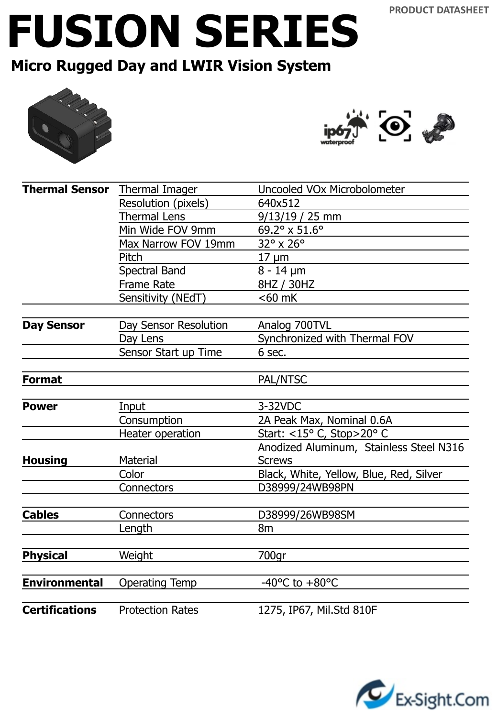## **FUSION SERIES**

### **Micro Rugged Day and LWIR Vision System**





| Thermal Sensor Thermal Imager |                         | Uncooled VOx Microbolometer             |  |
|-------------------------------|-------------------------|-----------------------------------------|--|
|                               | Resolution (pixels)     | 640x512                                 |  |
|                               | <b>Thermal Lens</b>     | $9/13/19/25$ mm                         |  |
|                               | Min Wide FOV 9mm        | 69.2° x 51.6°                           |  |
|                               | Max Narrow FOV 19mm     | 32° x 26°                               |  |
|                               | Pitch                   | $17 \mu m$                              |  |
|                               | <b>Spectral Band</b>    | $8 - 14 \mu m$                          |  |
|                               | <b>Frame Rate</b>       | 8HZ / 30HZ                              |  |
|                               | Sensitivity (NEdT)      | $<$ 60 mK                               |  |
|                               |                         |                                         |  |
| <b>Day Sensor</b>             | Day Sensor Resolution   | Analog 700TVL                           |  |
|                               | Day Lens                | Synchronized with Thermal FOV           |  |
|                               | Sensor Start up Time    | 6 sec.                                  |  |
| <b>Format</b>                 |                         | PAL/NTSC                                |  |
|                               |                         |                                         |  |
| <b>Power</b>                  | Input                   | 3-32VDC                                 |  |
|                               | Consumption             | 2A Peak Max, Nominal 0.6A               |  |
|                               | Heater operation        | Start: <15° C, Stop>20° C               |  |
|                               |                         | Anodized Aluminum, Stainless Steel N316 |  |
| <b>Housing</b>                | Material                | <b>Screws</b>                           |  |
|                               | Color                   | Black, White, Yellow, Blue, Red, Silver |  |
|                               | Connectors              | D38999/24WB98PN                         |  |
|                               |                         |                                         |  |
| <b>Cables</b>                 | Connectors              | D38999/26WB98SM                         |  |
|                               | Length                  | 8 <sub>m</sub>                          |  |
| <b>Physical</b>               | Weight                  | 700gr                                   |  |
|                               |                         |                                         |  |
| <b>Environmental</b>          | <b>Operating Temp</b>   | -40 $^{\circ}$ C to +80 $^{\circ}$ C    |  |
|                               |                         |                                         |  |
| <b>Certifications</b>         | <b>Protection Rates</b> | 1275, IP67, Mil.Std 810F                |  |